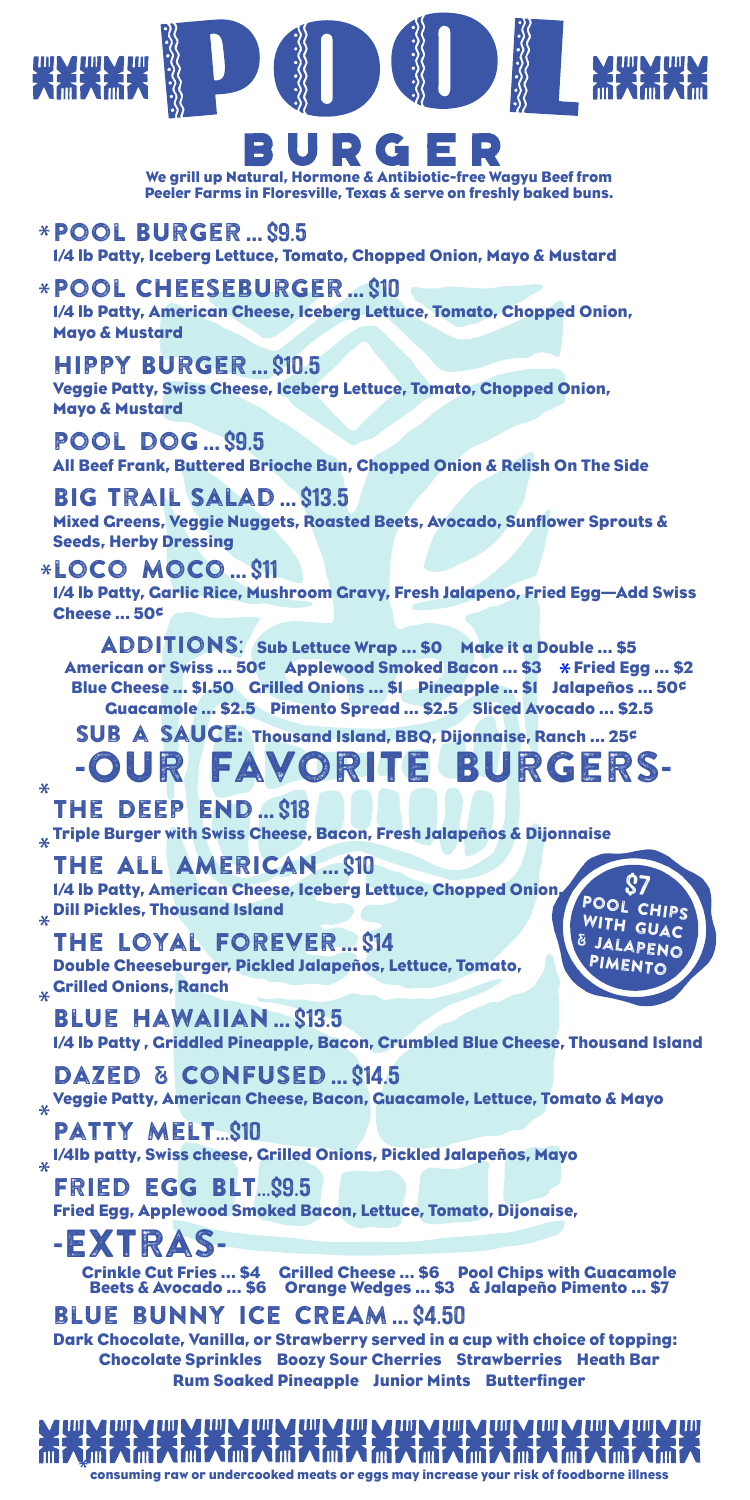

We grill up Natural, Hormone & Antibiotic-free Wagyu Beef from Peeler Farms in Floresville, Texas & serve on freshly baked buns.

Pool Burger … \$9.5 1/4 lb Patty, Iceberg Lettuce, Tomato, Chopped Onion, Mayo & Mustard

Pool Cheeseburger … \$10 1/4 lb Patty, American Cheese, Iceberg Lettuce, Tomato, Chopped Onion, Mayo & Mustard

Hippy Burger … \$10.5 Veggie Patty, Swiss Cheese, Iceberg Lettuce, Tomato, Chopped Onion, Mayo & Mustard

pool dog … \$9.5 All Beef Frank, Buttered Brioche Bun, Chopped Onion & Relish On The Side

Big Trail Salad … \$13.5 Mixed Greens, Veggie Nuggets, Roasted Beets, Avocado, Sunflower Sprouts & Seeds, Herby Dressing

loco moco … \$11

1/4 lb Patty, Garlic Rice, Mushroom Gravy, Fresh Jalapeno, Fried Egg—Add Swiss Cheese ... 50¢

ADDITIONS: Sub Lettuce Wrap ... \$0 Make it a Double ... \$5 American or Swiss ... 50¢ Applewood Smoked Bacon … \$3 Fried Egg … \$2 Blue Cheese ... \$1.50 Grilled Onions … \$1 Pineapple … \$1 Jalapeños … 50¢ Guacamole … \$2.5 Pimento Spread … \$2.5 Sliced Avocado … \$2.5

SUB A SAUCE: Thousand Island, BBO, Dijonnaise, Ranch ... 25<sup>c</sup> FAVORITE BURGERS-

 $\star$ The Deep End … \$18  $_\mathrm{\star}$  Triple Burger with Swiss Cheese, Bacon, Fresh Jalapeños & Dijonnaise

THE ALL AMERICAN ... \$10 1/4 lb Patty, American Cheese, Iceberg Lettuce, Chopped Onion,  $_{\rm \ast}$  Dill Pickles, Thousand Island

THE LOYAL FOREVER ... S14 Double Cheeseburger, Pickled Jalapeños, Lettuce, Tomato, **Crilled Onions, Ranch** 

S7<br>Pool Chips WITH GUAC **JALAPENO** PIMENTO

Blue Hawaiian … \$13.5 1/4 lb Patty , Griddled Pineapple, Bacon, Crumbled Blue Cheese, Thousand Island

DAZED & CONFUSED ... \$14.5  $_{\rm x}$  Veggie Patty, American Cheese, Bacon, Guacamole, Lettuce, Tomato & Mayo

PATTY MELT...S10 1/4lb patty, Swiss cheese, Grilled Onions, Pickled Jalapeños, Mayo

FRIED EGG BLT...S9.5 Fried Egg, Applewood Smoked Bacon, Lettuce, Tomato, Dijonaise,

-Extras-Crinkle Cut Fries … \$4 Grilled Cheese … \$6 Pool Chips with Guacamole Beets & Avocado … \$6 Orange Wedges … \$3 & Jalapeño Pimento … \$7

blue bunny ICE CREAM … \$4.50

Dark Chocolate, Vanilla, or Strawberry served in a cup with choice of topping: Chocolate Sprinkles Boozy Sour Cherries Strawberries Heath Bar Rum Soaked Pineapple Junior Mints Butterfinger